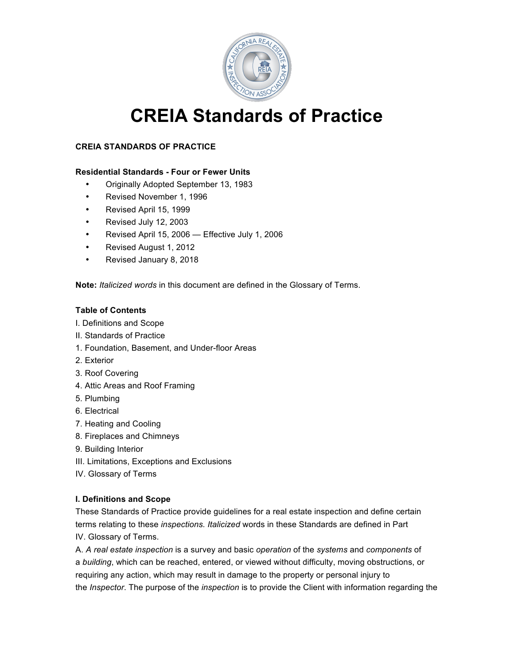

# **CREIA Standards of Practice**

## **CREIA STANDARDS OF PRACTICE**

#### **Residential Standards - Four or Fewer Units**

- Originally Adopted September 13, 1983
- Revised November 1, 1996
- Revised April 15, 1999
- Revised July 12, 2003
- Revised April 15, 2006 Effective July 1, 2006
- Revised August 1, 2012
- Revised January 8, 2018

**Note:** *Italicized words* in this document are defined in the Glossary of Terms.

#### **Table of Contents**

- I. Definitions and Scope
- II. Standards of Practice
- 1. Foundation, Basement, and Under-floor Areas
- 2. Exterior
- 3. Roof Covering
- 4. Attic Areas and Roof Framing
- 5. Plumbing
- 6. Electrical
- 7. Heating and Cooling
- 8. Fireplaces and Chimneys
- 9. Building Interior
- III. Limitations, Exceptions and Exclusions
- IV. Glossary of Terms

#### **I. Definitions and Scope**

These Standards of Practice provide guidelines for a real estate inspection and define certain terms relating to these *inspections. Italicized* words in these Standards are defined in Part IV. Glossary of Terms.

A. *A real estate inspection* is a survey and basic *operation* of the *systems* and *components* of a *building*, which can be reached, entered, or viewed without difficulty, moving obstructions, or requiring any action, which may result in damage to the property or personal injury to the *Inspector*. The purpose of the *inspection* is to provide the Client with information regarding the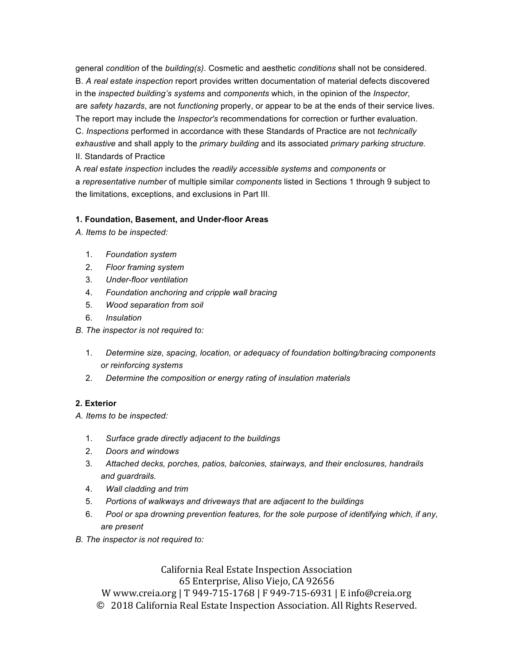general *condition* of the *building(s)*. Cosmetic and aesthetic *conditions* shall not be considered. B. *A real estate inspection* report provides written documentation of material defects discovered in the *inspected building's systems* and *components* which, in the opinion of the *Inspector*, are *safety hazards*, are not *functioning* properly, or appear to be at the ends of their service lives. The report may include the *Inspector's* recommendations for correction or further evaluation. C. *Inspections* performed in accordance with these Standards of Practice are not *technically exhaustive* and shall apply to the *primary building* and its associated *primary parking structure.* II. Standards of Practice

A *real estate inspection* includes the *readily accessible systems* and *components* or a *representative number* of multiple similar *components* listed in Sections 1 through 9 subject to the limitations, exceptions, and exclusions in Part III.

#### **1. Foundation, Basement, and Under-floor Areas**

*A. Items to be inspected:*

- 1. *Foundation system*
- 2. *Floor framing system*
- 3. *Under-floor ventilation*
- 4. *Foundation anchoring and cripple wall bracing*
- 5. *Wood separation from soil*
- 6. *Insulation*
- *B. The inspector is not required to:*
	- 1. *Determine size, spacing, location, or adequacy of foundation bolting/bracing components or reinforcing systems*
	- 2. *Determine the composition or energy rating of insulation materials*

#### **2. Exterior**

*A. Items to be inspected:*

- 1. *Surface grade directly adjacent to the buildings*
- 2. *Doors and windows*
- 3. *Attached decks, porches, patios, balconies, stairways, and their enclosures, handrails and guardrails.*
- 4. *Wall cladding and trim*
- 5. *Portions of walkways and driveways that are adjacent to the buildings*
- 6. *Pool or spa drowning prevention features, for the sole purpose of identifying which, if any, are present*
- *B. The inspector is not required to:*

California Real Estate Inspection Association 65 Enterprise, Aliso Viejo, CA 92656 W www.creia.org | T 949-715-1768 | F 949-715-6931 | E info@creia.org © 2018 California Real Estate Inspection Association. All Rights Reserved.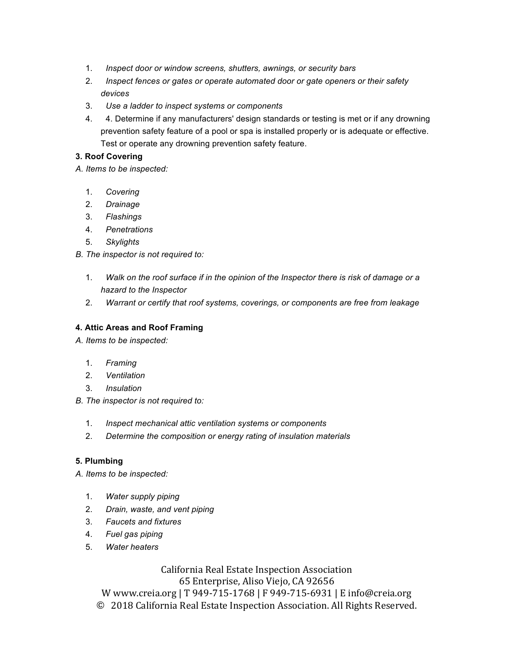- 1. *Inspect door or window screens, shutters, awnings, or security bars*
- 2. *Inspect fences or gates or operate automated door or gate openers or their safety devices*
- 3. *Use a ladder to inspect systems or components*
- 4. 4. Determine if any manufacturers' design standards or testing is met or if any drowning prevention safety feature of a pool or spa is installed properly or is adequate or effective. Test or operate any drowning prevention safety feature.

### **3. Roof Covering**

*A. Items to be inspected:*

- 1. *Covering*
- 2. *Drainage*
- 3. *Flashings*
- 4. *Penetrations*
- 5. *Skylights*
- *B. The inspector is not required to:*
	- 1. *Walk on the roof surface if in the opinion of the Inspector there is risk of damage or a hazard to the Inspector*
	- 2. *Warrant or certify that roof systems, coverings, or components are free from leakage*

#### **4. Attic Areas and Roof Framing**

- *A. Items to be inspected:*
	- 1. *Framing*
	- 2. *Ventilation*
	- 3. *Insulation*
- *B. The inspector is not required to:*
	- 1. *Inspect mechanical attic ventilation systems or components*
	- 2. *Determine the composition or energy rating of insulation materials*

#### **5. Plumbing**

*A. Items to be inspected:*

- 1. *Water supply piping*
- 2. *Drain, waste, and vent piping*
- 3. *Faucets and fixtures*
- 4. *Fuel gas piping*
- 5. *Water heaters*

California Real Estate Inspection Association 65 Enterprise, Aliso Viejo, CA 92656 W www.creia.org | T 949-715-1768 | F 949-715-6931 | E info@creia.org

© 2018 California Real Estate Inspection Association. All Rights Reserved.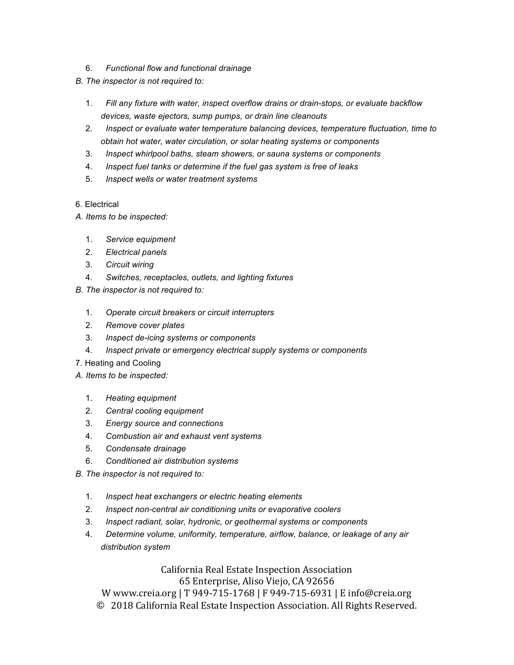- 6. *Functional flow and functional drainage*
- *B. The inspector is not required to:*
	- 1. *Fill any fixture with water, inspect overflow drains or drain-stops, or evaluate backflow devices, waste ejectors, sump pumps, or drain line cleanouts*
	- 2. *Inspect or evaluate water temperature balancing devices, temperature fluctuation, time to obtain hot water, water circulation, or solar heating systems or components*
	- 3. *Inspect whirlpool baths, steam showers, or sauna systems or components*
	- 4. *Inspect fuel tanks or determine if the fuel gas system is free of leaks*
	- 5. *Inspect wells or water treatment systems*
- 6. Electrical
- *A. Items to be inspected:*
	- 1. *Service equipment*
	- 2. *Electrical panels*
	- 3. *Circuit wiring*
	- 4. *Switches, receptacles, outlets, and lighting fixtures*
- *B. The inspector is not required to:*
	- 1. *Operate circuit breakers or circuit interrupters*
	- 2. *Remove cover plates*
	- 3. *Inspect de-icing systems or components*
	- 4. *Inspect private or emergency electrical supply systems or components*
- 7. Heating and Cooling
- *A. Items to be inspected:*
	- 1. *Heating equipment*
	- 2. *Central cooling equipment*
	- 3. *Energy source and connections*
	- 4. *Combustion air and exhaust vent systems*
	- 5. *Condensate drainage*
	- 6. *Conditioned air distribution systems*
- *B. The inspector is not required to:*
	- 1. *Inspect heat exchangers or electric heating elements*
	- 2. *Inspect non-central air conditioning units or evaporative coolers*
	- 3. *Inspect radiant, solar, hydronic, or geothermal systems or components*
	- 4. *Determine volume, uniformity, temperature, airflow, balance, or leakage of any air distribution system*

California Real Estate Inspection Association 65 Enterprise, Aliso Viejo, CA 92656

W www.creia.org | T 949-715-1768 | F 949-715-6931 | E info@creia.org

© 2018 California Real Estate Inspection Association. All Rights Reserved.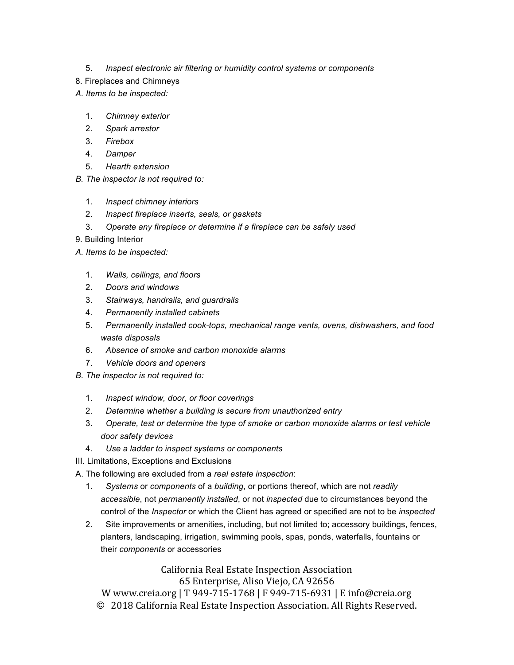- 5. *Inspect electronic air filtering or humidity control systems or components*
- 8. Fireplaces and Chimneys
- *A. Items to be inspected:*
	- 1. *Chimney exterior*
	- 2. *Spark arrestor*
	- 3. *Firebox*
	- 4. *Damper*
	- 5. *Hearth extension*
- *B. The inspector is not required to:*
	- 1. *Inspect chimney interiors*
	- 2. *Inspect fireplace inserts, seals, or gaskets*
	- 3. *Operate any fireplace or determine if a fireplace can be safely used*
- 9. Building Interior
- *A. Items to be inspected:*
	- 1. *Walls, ceilings, and floors*
	- 2. *Doors and windows*
	- 3. *Stairways, handrails, and guardrails*
	- 4. *Permanently installed cabinets*
	- 5. *Permanently installed cook-tops, mechanical range vents, ovens, dishwashers, and food waste disposals*
	- 6. *Absence of smoke and carbon monoxide alarms*
	- 7. *Vehicle doors and openers*
- *B. The inspector is not required to:*
	- 1. *Inspect window, door, or floor coverings*
	- 2. *Determine whether a building is secure from unauthorized entry*
	- 3. *Operate, test or determine the type of smoke or carbon monoxide alarms or test vehicle door safety devices*
	- 4. *Use a ladder to inspect systems or components*

III. Limitations, Exceptions and Exclusions

A. The following are excluded from a *real estate inspection*:

- 1. *Systems* or *components* of a *building*, or portions thereof, which are not *readily accessible*, not *permanently installed*, or not *inspected* due to circumstances beyond the control of the *Inspector* or which the Client has agreed or specified are not to be *inspected*
- 2. Site improvements or amenities, including, but not limited to; accessory buildings, fences, planters, landscaping, irrigation, swimming pools, spas, ponds, waterfalls, fountains or their *components* or accessories

California Real Estate Inspection Association 65 Enterprise, Aliso Viejo, CA 92656

W www.creia.org | T 949-715-1768 | F 949-715-6931 | E info@creia.org © 2018 California Real Estate Inspection Association. All Rights Reserved.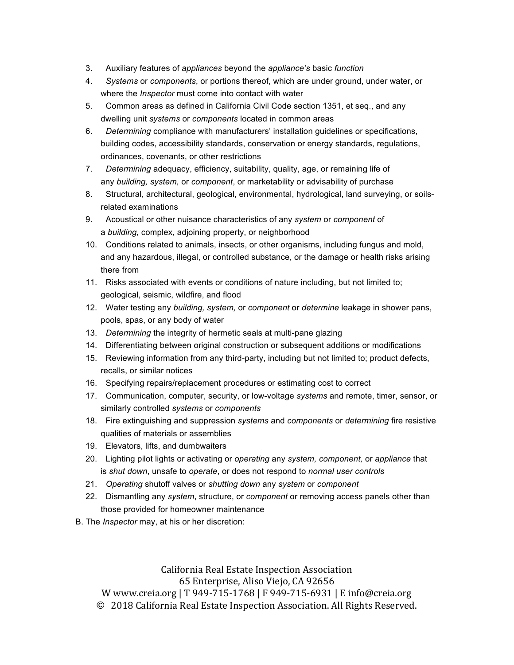- 3. Auxiliary features of *appliances* beyond the *appliance's* basic *function*
- 4. *Systems* or *components*, or portions thereof, which are under ground, under water, or where the *Inspector* must come into contact with water
- 5. Common areas as defined in California Civil Code section 1351, et seq., and any dwelling unit *systems* or *components* located in common areas
- 6. *Determining* compliance with manufacturers' installation guidelines or specifications, building codes, accessibility standards, conservation or energy standards, regulations, ordinances, covenants, or other restrictions
- 7. *Determining* adequacy, efficiency, suitability, quality, age, or remaining life of any *building, system,* or *component*, or marketability or advisability of purchase
- 8. Structural, architectural, geological, environmental, hydrological, land surveying, or soilsrelated examinations
- 9. Acoustical or other nuisance characteristics of any *system* or *component* of a *building,* complex, adjoining property, or neighborhood
- 10. Conditions related to animals, insects, or other organisms, including fungus and mold, and any hazardous, illegal, or controlled substance, or the damage or health risks arising there from
- 11. Risks associated with events or conditions of nature including, but not limited to; geological, seismic, wildfire, and flood
- 12. Water testing any *building, system,* or *component* or *determine* leakage in shower pans, pools, spas, or any body of water
- 13. *Determining* the integrity of hermetic seals at multi-pane glazing
- 14. Differentiating between original construction or subsequent additions or modifications
- 15. Reviewing information from any third-party, including but not limited to; product defects, recalls, or similar notices
- 16. Specifying repairs/replacement procedures or estimating cost to correct
- 17. Communication, computer, security, or low-voltage *systems* and remote, timer, sensor, or similarly controlled *systems* or *components*
- 18. Fire extinguishing and suppression *systems* and *components* or *determining* fire resistive qualities of materials or assemblies
- 19. Elevators, lifts, and dumbwaiters
- 20. Lighting pilot lights or activating or *operating* any *system, component,* or *appliance* that is *shut down*, unsafe to *operate*, or does not respond to *normal user controls*
- 21. *Operating* shutoff valves or *shutting down* any *system* or *component*
- 22. Dismantling any *system*, structure, or *component* or removing access panels other than those provided for homeowner maintenance
- B. The *Inspector* may, at his or her discretion:

California Real Estate Inspection Association 65 Enterprise, Aliso Viejo, CA 92656 W www.creia.org | T 949-715-1768 | F 949-715-6931 | E info@creia.org © 2018 California Real Estate Inspection Association. All Rights Reserved.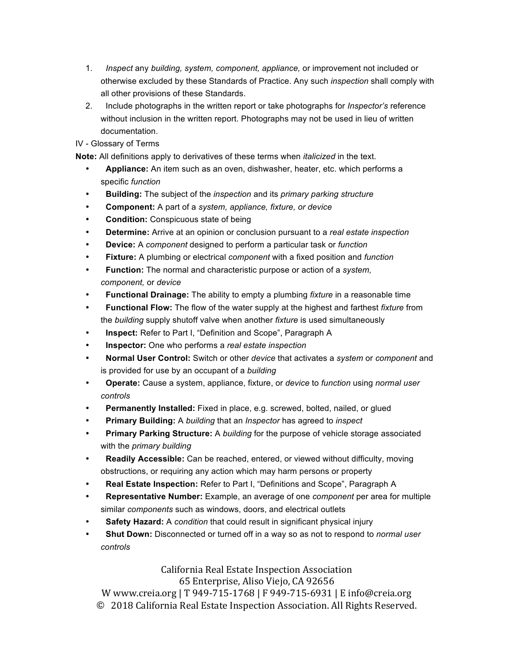- 1. *Inspect* any *building, system, component, appliance,* or improvement not included or otherwise excluded by these Standards of Practice. Any such *inspection* shall comply with all other provisions of these Standards.
- 2. Include photographs in the written report or take photographs for *Inspector's* reference without inclusion in the written report. Photographs may not be used in lieu of written documentation.
- IV Glossary of Terms

**Note:** All definitions apply to derivatives of these terms when *italicized* in the text.

- **Appliance:** An item such as an oven, dishwasher, heater, etc. which performs a specific *function*
- **Building:** The subject of the *inspection* and its *primary parking structure*
- **Component:** A part of a *system, appliance, fixture, or device*
- **Condition:** Conspicuous state of being
- **Determine:** Arrive at an opinion or conclusion pursuant to a *real estate inspection*
- **Device:** A *component* designed to perform a particular task or *function*
- **Fixture:** A plumbing or electrical *component* with a fixed position and *function*
- **Function:** The normal and characteristic purpose or action of a *system, component,* or *device*
- **Functional Drainage:** The ability to empty a plumbing *fixture* in a reasonable time
- **Functional Flow:** The flow of the water supply at the highest and farthest *fixture* from the *building* supply shutoff valve when another *fixture* is used simultaneously
- **Inspect:** Refer to Part I, "Definition and Scope", Paragraph A
- **Inspector:** One who performs a *real estate inspection*
- **Normal User Control:** Switch or other *device* that activates a *system* or *component* and is provided for use by an occupant of a *building*
- **Operate:** Cause a system, appliance, fixture, or *device* to *function* using *normal user controls*
- **Permanently Installed:** Fixed in place, e.g. screwed, bolted, nailed, or glued
- **Primary Building:** A *building* that an *Inspector* has agreed to *inspect*
- **Primary Parking Structure:** A *building* for the purpose of vehicle storage associated with the *primary building*
- **Readily Accessible:** Can be reached, entered, or viewed without difficulty, moving obstructions, or requiring any action which may harm persons or property
- **Real Estate Inspection:** Refer to Part I, "Definitions and Scope", Paragraph A
- **Representative Number:** Example, an average of one *component* per area for multiple similar *components* such as windows, doors, and electrical outlets
- **Safety Hazard:** A *condition* that could result in significant physical injury
- **Shut Down:** Disconnected or turned off in a way so as not to respond to *normal user controls*

# California Real Estate Inspection Association 65 Enterprise, Aliso Viejo, CA 92656

W www.creia.org | T 949-715-1768 | F 949-715-6931 | E info@creia.org © 2018 California Real Estate Inspection Association. All Rights Reserved.